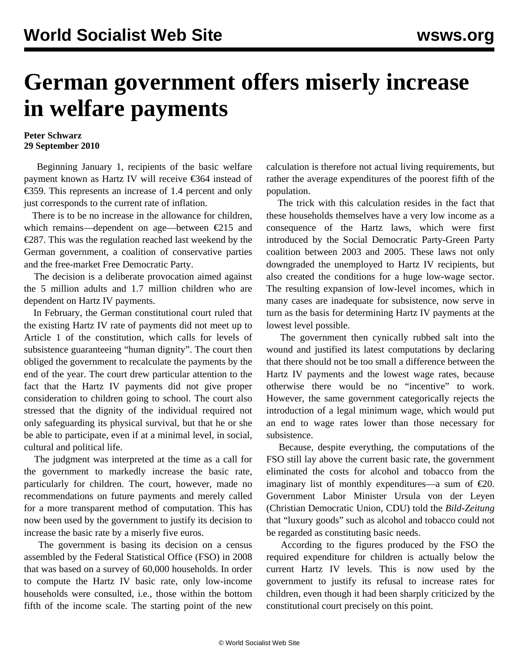## **German government offers miserly increase in welfare payments**

## **Peter Schwarz 29 September 2010**

 Beginning January 1, recipients of the basic welfare payment known as Hartz IV will receive €364 instead of €359. This represents an increase of 1.4 percent and only just corresponds to the current rate of inflation.

 There is to be no increase in the allowance for children, which remains—dependent on age—between €215 and €287. This was the regulation reached last weekend by the German government, a coalition of conservative parties and the free-market Free Democratic Party.

 The decision is a deliberate provocation aimed against the 5 million adults and 1.7 million children who are dependent on Hartz IV payments.

 In February, the German constitutional court ruled that the existing Hartz IV rate of payments did not meet up to Article 1 of the constitution, which calls for levels of subsistence guaranteeing "human dignity". The court then obliged the government to recalculate the payments by the end of the year. The court drew particular attention to the fact that the Hartz IV payments did not give proper consideration to children going to school. The court also stressed that the dignity of the individual required not only safeguarding its physical survival, but that he or she be able to participate, even if at a minimal level, in social, cultural and political life.

 The judgment was interpreted at the time as a call for the government to markedly increase the basic rate, particularly for children. The court, however, made no recommendations on future payments and merely called for a more transparent method of computation. This has now been used by the government to justify its decision to increase the basic rate by a miserly five euros.

 The government is basing its decision on a census assembled by the Federal Statistical Office (FSO) in 2008 that was based on a survey of 60,000 households. In order to compute the Hartz IV basic rate, only low-income households were consulted, i.e., those within the bottom fifth of the income scale. The starting point of the new

calculation is therefore not actual living requirements, but rather the average expenditures of the poorest fifth of the population.

 The trick with this calculation resides in the fact that these households themselves have a very low income as a consequence of the Hartz laws, which were first introduced by the Social Democratic Party-Green Party coalition between 2003 and 2005. These laws not only downgraded the unemployed to Hartz IV recipients, but also created the conditions for a huge low-wage sector. The resulting expansion of low-level incomes, which in many cases are inadequate for subsistence, now serve in turn as the basis for determining Hartz IV payments at the lowest level possible.

 The government then cynically rubbed salt into the wound and justified its latest computations by declaring that there should not be too small a difference between the Hartz IV payments and the lowest wage rates, because otherwise there would be no "incentive" to work. However, the same government categorically rejects the introduction of a legal minimum wage, which would put an end to wage rates lower than those necessary for subsistence.

 Because, despite everything, the computations of the FSO still lay above the current basic rate, the government eliminated the costs for alcohol and tobacco from the imaginary list of monthly expenditures—a sum of  $\epsilon$ 20. Government Labor Minister Ursula von der Leyen (Christian Democratic Union, CDU) told the *Bild-Zeitung* that "luxury goods" such as alcohol and tobacco could not be regarded as constituting basic needs.

 According to the figures produced by the FSO the required expenditure for children is actually below the current Hartz IV levels. This is now used by the government to justify its refusal to increase rates for children, even though it had been sharply criticized by the constitutional court precisely on this point.